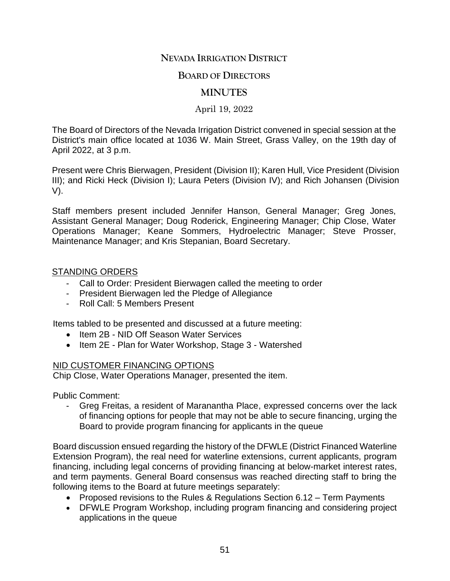# **NEVADA IRRIGATION DISTRICT**

### **BOARD OF DIRECTORS**

# **MINUTES**

April 19, 2022

The Board of Directors of the Nevada Irrigation District convened in special session at the District's main office located at 1036 W. Main Street, Grass Valley, on the 19th day of April 2022, at 3 p.m.

Present were Chris Bierwagen, President (Division II); Karen Hull, Vice President (Division III); and Ricki Heck (Division I); Laura Peters (Division IV); and Rich Johansen (Division V).

Staff members present included Jennifer Hanson, General Manager; Greg Jones, Assistant General Manager; Doug Roderick, Engineering Manager; Chip Close, Water Operations Manager; Keane Sommers, Hydroelectric Manager; Steve Prosser, Maintenance Manager; and Kris Stepanian, Board Secretary.

#### STANDING ORDERS

- Call to Order: President Bierwagen called the meeting to order
- President Bierwagen led the Pledge of Allegiance
- Roll Call: 5 Members Present

Items tabled to be presented and discussed at a future meeting:

- Item 2B NID Off Season Water Services
- Item 2E Plan for Water Workshop, Stage 3 Watershed

#### NID CUSTOMER FINANCING OPTIONS

Chip Close, Water Operations Manager, presented the item.

Public Comment:

- Greg Freitas, a resident of Maranantha Place, expressed concerns over the lack of financing options for people that may not be able to secure financing, urging the Board to provide program financing for applicants in the queue

Board discussion ensued regarding the history of the DFWLE (District Financed Waterline Extension Program), the real need for waterline extensions, current applicants, program financing, including legal concerns of providing financing at below-market interest rates, and term payments. General Board consensus was reached directing staff to bring the following items to the Board at future meetings separately:

- Proposed revisions to the Rules & Regulations Section 6.12 Term Payments
- DFWLE Program Workshop, including program financing and considering project applications in the queue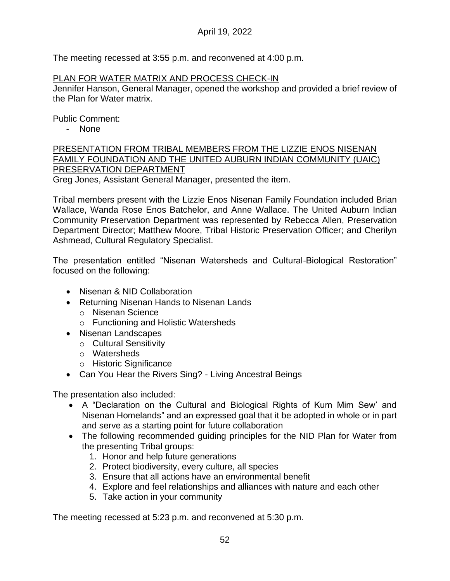The meeting recessed at 3:55 p.m. and reconvened at 4:00 p.m.

### PLAN FOR WATER MATRIX AND PROCESS CHECK-IN

Jennifer Hanson, General Manager, opened the workshop and provided a brief review of the Plan for Water matrix.

Public Comment:

- None

PRESENTATION FROM TRIBAL MEMBERS FROM THE LIZZIE ENOS NISENAN FAMILY FOUNDATION AND THE UNITED AUBURN INDIAN COMMUNITY (UAIC) PRESERVATION DEPARTMENT

Greg Jones, Assistant General Manager, presented the item.

Tribal members present with the Lizzie Enos Nisenan Family Foundation included Brian Wallace, Wanda Rose Enos Batchelor, and Anne Wallace. The United Auburn Indian Community Preservation Department was represented by Rebecca Allen, Preservation Department Director; Matthew Moore, Tribal Historic Preservation Officer; and Cherilyn Ashmead, Cultural Regulatory Specialist.

The presentation entitled "Nisenan Watersheds and Cultural-Biological Restoration" focused on the following:

- Nisenan & NID Collaboration
- Returning Nisenan Hands to Nisenan Lands
	- o Nisenan Science
	- o Functioning and Holistic Watersheds
- Nisenan Landscapes
	- o Cultural Sensitivity
	- o Watersheds
	- o Historic Significance
- Can You Hear the Rivers Sing? Living Ancestral Beings

The presentation also included:

- A "Declaration on the Cultural and Biological Rights of Kum Mim Sew' and Nisenan Homelands" and an expressed goal that it be adopted in whole or in part and serve as a starting point for future collaboration
- The following recommended guiding principles for the NID Plan for Water from the presenting Tribal groups:
	- 1. Honor and help future generations
	- 2. Protect biodiversity, every culture, all species
	- 3. Ensure that all actions have an environmental benefit
	- 4. Explore and feel relationships and alliances with nature and each other
	- 5. Take action in your community

The meeting recessed at 5:23 p.m. and reconvened at 5:30 p.m.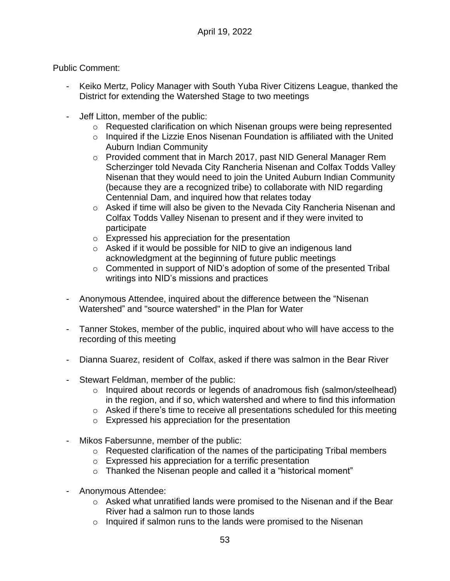## Public Comment:

- Keiko Mertz, Policy Manager with South Yuba River Citizens League, thanked the District for extending the Watershed Stage to two meetings
- Jeff Litton, member of the public:
	- o Requested clarification on which Nisenan groups were being represented
	- $\circ$  Inquired if the Lizzie Enos Nisenan Foundation is affiliated with the United Auburn Indian Community
	- o Provided comment that in March 2017, past NID General Manager Rem Scherzinger told Nevada City Rancheria Nisenan and Colfax Todds Valley Nisenan that they would need to join the United Auburn Indian Community (because they are a recognized tribe) to collaborate with NID regarding Centennial Dam, and inquired how that relates today
	- $\circ$  Asked if time will also be given to the Nevada City Rancheria Nisenan and Colfax Todds Valley Nisenan to present and if they were invited to participate
	- $\circ$  Expressed his appreciation for the presentation
	- o Asked if it would be possible for NID to give an indigenous land acknowledgment at the beginning of future public meetings
	- $\circ$  Commented in support of NID's adoption of some of the presented Tribal writings into NID's missions and practices
- Anonymous Attendee, inquired about the difference between the "Nisenan Watershed" and "source watershed" in the Plan for Water
- Tanner Stokes, member of the public, inquired about who will have access to the recording of this meeting
- Dianna Suarez, resident of Colfax, asked if there was salmon in the Bear River
- Stewart Feldman, member of the public:
	- o Inquired about records or legends of anadromous fish (salmon/steelhead) in the region, and if so, which watershed and where to find this information
	- o Asked if there's time to receive all presentations scheduled for this meeting
	- o Expressed his appreciation for the presentation
- Mikos Fabersunne, member of the public:
	- $\circ$  Requested clarification of the names of the participating Tribal members
	- o Expressed his appreciation for a terrific presentation
	- o Thanked the Nisenan people and called it a "historical moment"
- Anonymous Attendee:
	- o Asked what unratified lands were promised to the Nisenan and if the Bear River had a salmon run to those lands
	- $\circ$  Inquired if salmon runs to the lands were promised to the Nisenan